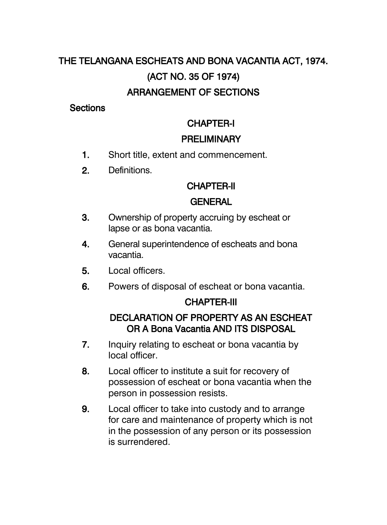# THE TELANGANA ESCHEATS AND BONA VACANTIA ACT, 1974. (ACT NO. 35 OF 1974) ARRANGEMENT OF SECTIONS

## **Sections**

## CHAPTER-I **PRELIMINARY**

- 1. Short title, extent and commencement.
- 2. Definitions.

## CHAPTER-II

## **GENERAL**

- 3. Ownership of property accruing by escheat or lapse or as bona vacantia.
- 4. General superintendence of escheats and bona vacantia.
- 5. Local officers.
- 6. Powers of disposal of escheat or bona vacantia.

## CHAPTER-III

## DECLARATION OF PROPERTY AS AN ESCHEAT OR A Bona Vacantia AND ITS DISPOSAL

- 7. Inquiry relating to escheat or bona vacantia by local officer.
- 8. Local officer to institute a suit for recovery of possession of escheat or bona vacantia when the person in possession resists.
- 9. Local officer to take into custody and to arrange for care and maintenance of property which is not in the possession of any person or its possession is surrendered.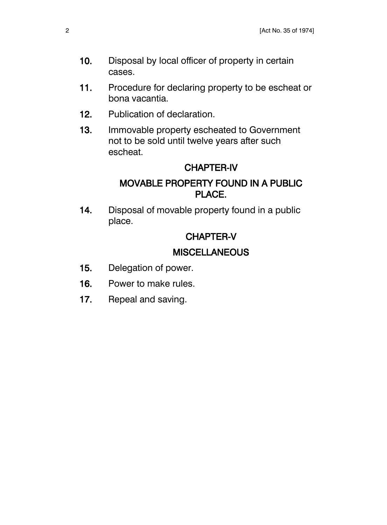- 10. Disposal by local officer of property in certain cases.
- 11. Procedure for declaring property to be escheat or bona vacantia.
- 12. Publication of declaration.
- 13. Immovable property escheated to Government not to be sold until twelve years after such escheat.

#### CHAPTER-IV

### MOVABLE PROPERTY FOUND IN A PUBLIC PLACE.

14. Disposal of movable property found in a public place.

## CHAPTER-V

#### **MISCELLANEOUS**

- 15. Delegation of power.
- 16. Power to make rules.
- 17. Repeal and saving.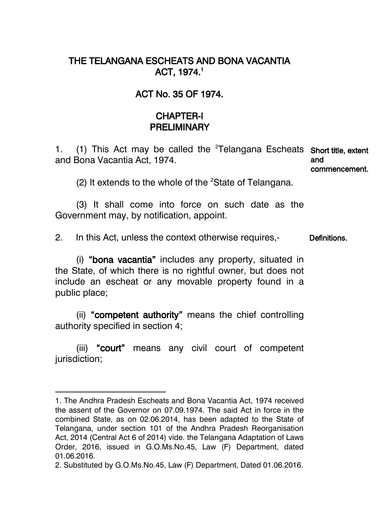## THE TELANGANA ESCHEATS AND BONA VACANTIA ACT, 1974. 1

### ACT No. 35 OF 1974.

### CHAPTER-I **PRELIMINARY**

1.  $(1)$  This Act may be called the <sup>2</sup>Telangana Escheats Short title, extent and Bona Vacantia Act, 1974. and

commencement.

(2) It extends to the whole of the  $2$ State of Telangana.

(3) It shall come into force on such date as the Government may, by notification, appoint.

2. In this Act, unless the context otherwise requires,- Definitions.

(i) "bona vacantia" includes any property, situated in the State, of which there is no rightful owner, but does not include an escheat or any movable property found in a public place;

(ii) "competent authority" means the chief controlling authority specified in section 4;

(iii) "court" means any civil court of competent jurisdiction;

 $\overline{\phantom{a}}$ 

<sup>1.</sup> The Andhra Pradesh Escheats and Bona Vacantia Act, 1974 received the assent of the Governor on 07.09.1974. The said Act in force in the combined State, as on 02.06.2014, has been adapted to the State of Telangana, under section 101 of the Andhra Pradesh Reorganisation Act, 2014 (Central Act 6 of 2014) vide. the Telangana Adaptation of Laws Order, 2016, issued in G.O.Ms.No.45, Law (F) Department, dated 01.06.2016.

<sup>2.</sup> Substituted by G.O.Ms.No.45, Law (F) Department, Dated 01.06.2016.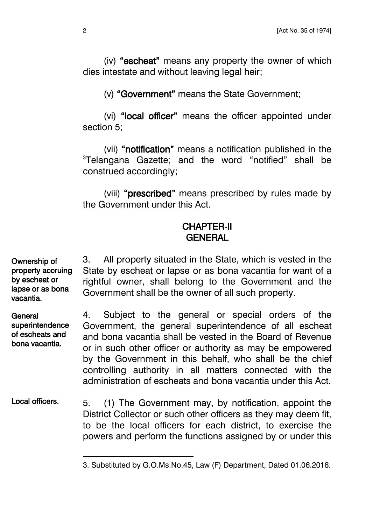(iv) "escheat" means any property the owner of which dies intestate and without leaving legal heir;

(v) "Government" means the State Government;

(vi) "local officer" means the officer appointed under section 5;

(vii) "notification" means a notification published in the <sup>3</sup>Telangana Gazette; and the word "notified" shall be construed accordingly;

(viii) "prescribed" means prescribed by rules made by the Government under this Act.

## CHAPTER-II **GENERAL**

Ownership of property accruing by escheat or lapse or as bona vacantia.

**General** superintendence of escheats and bona vacantia.

l

3. All property situated in the State, which is vested in the State by escheat or lapse or as bona vacantia for want of a rightful owner, shall belong to the Government and the Government shall be the owner of all such property.

4. Subject to the general or special orders of the Government, the general superintendence of all escheat and bona vacantia shall be vested in the Board of Revenue or in such other officer or authority as may be empowered by the Government in this behalf, who shall be the chief controlling authority in all matters connected with the administration of escheats and bona vacantia under this Act.

5. (1) The Government may, by notification, appoint the District Collector or such other officers as they may deem fit, to be the local officers for each district, to exercise the powers and perform the functions assigned by or under this Local officers.

<sup>3.</sup> Substituted by G.O.Ms.No.45, Law (F) Department, Dated 01.06.2016.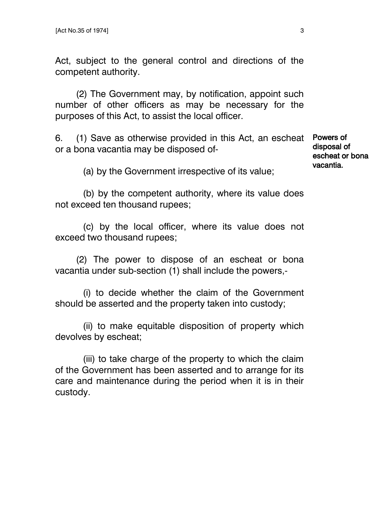Act, subject to the general control and directions of the competent authority.

(2) The Government may, by notification, appoint such number of other officers as may be necessary for the purposes of this Act, to assist the local officer.

6. (1) Save as otherwise provided in this Act, an escheat Powers of or a bona vacantia may be disposed of-

disposal of escheat or bona vacantia.

(a) by the Government irrespective of its value;

(b) by the competent authority, where its value does not exceed ten thousand rupees;

(c) by the local officer, where its value does not exceed two thousand rupees;

(2) The power to dispose of an escheat or bona vacantia under sub-section (1) shall include the powers,-

(i) to decide whether the claim of the Government should be asserted and the property taken into custody;

(ii) to make equitable disposition of property which devolves by escheat;

(iii) to take charge of the property to which the claim of the Government has been asserted and to arrange for its care and maintenance during the period when it is in their custody.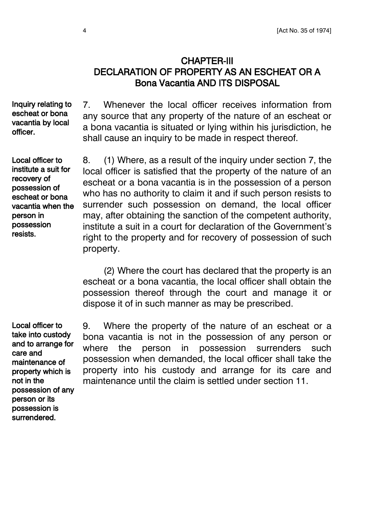#### CHAPTER-III DECLARATION OF PROPERTY AS AN ESCHEAT OR A Bona Vacantia AND ITS DISPOSAL

Inquiry relating to escheat or bona vacantia by local officer.

7. Whenever the local officer receives information from any source that any property of the nature of an escheat or a bona vacantia is situated or lying within his jurisdiction, he shall cause an inquiry to be made in respect thereof.

Local officer to institute a suit for recovery of possession of escheat or bona vacantia when the person in possession resists.

8. (1) Where, as a result of the inquiry under section 7, the local officer is satisfied that the property of the nature of an escheat or a bona vacantia is in the possession of a person who has no authority to claim it and if such person resists to surrender such possession on demand, the local officer may, after obtaining the sanction of the competent authority, institute a suit in a court for declaration of the Government's right to the property and for recovery of possession of such property.

(2) Where the court has declared that the property is an escheat or a bona vacantia, the local officer shall obtain the possession thereof through the court and manage it or dispose it of in such manner as may be prescribed.

Local officer to take into custody and to arrange for care and maintenance of property which is not in the possession of any person or its possession is surrendered.

9. Where the property of the nature of an escheat or a bona vacantia is not in the possession of any person or where the person in possession surrenders such possession when demanded, the local officer shall take the property into his custody and arrange for its care and maintenance until the claim is settled under section 11.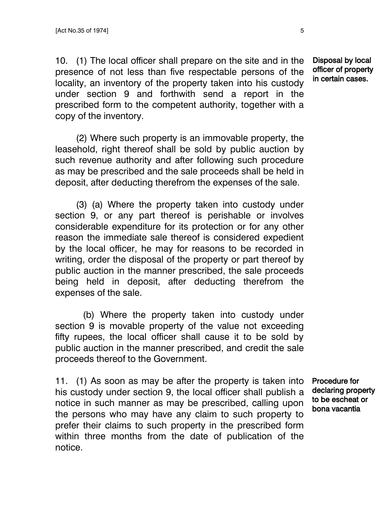10. (1) The local officer shall prepare on the site and in the presence of not less than five respectable persons of the locality, an inventory of the property taken into his custody under section 9 and forthwith send a report in the prescribed form to the competent authority, together with a copy of the inventory.

(2) Where such property is an immovable property, the leasehold, right thereof shall be sold by public auction by such revenue authority and after following such procedure as may be prescribed and the sale proceeds shall be held in deposit, after deducting therefrom the expenses of the sale.

(3) (a) Where the property taken into custody under section 9, or any part thereof is perishable or involves considerable expenditure for its protection or for any other reason the immediate sale thereof is considered expedient by the local officer, he may for reasons to be recorded in writing, order the disposal of the property or part thereof by public auction in the manner prescribed, the sale proceeds being held in deposit, after deducting therefrom the expenses of the sale.

(b) Where the property taken into custody under section 9 is movable property of the value not exceeding fifty rupees, the local officer shall cause it to be sold by public auction in the manner prescribed, and credit the sale proceeds thereof to the Government.

11. (1) As soon as may be after the property is taken into his custody under section 9, the local officer shall publish a notice in such manner as may be prescribed, calling upon the persons who may have any claim to such property to prefer their claims to such property in the prescribed form within three months from the date of publication of the notice.

Procedure for declaring property to be escheat or bona vacantia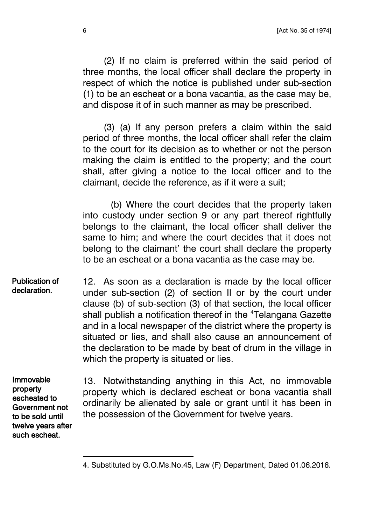6 [Act No. 35 of 1974]

(2) If no claim is preferred within the said period of three months, the local officer shall declare the property in respect of which the notice is published under sub-section (1) to be an escheat or a bona vacantia, as the case may be, and dispose it of in such manner as may be prescribed.

(3) (a) If any person prefers a claim within the said period of three months, the local officer shall refer the claim to the court for its decision as to whether or not the person making the claim is entitled to the property; and the court shall, after giving a notice to the local officer and to the claimant, decide the reference, as if it were a suit;

(b) Where the court decides that the property taken into custody under section 9 or any part thereof rightfully belongs to the claimant, the local officer shall deliver the same to him; and where the court decides that it does not belong to the claimant' the court shall declare the property to be an escheat or a bona vacantia as the case may be.

12. As soon as a declaration is made by the local officer under sub-section (2) of section II or by the court under clause (b) of sub-section (3) of that section, the local officer shall publish a notification thereof in the <sup>4</sup>Telangana Gazette and in a local newspaper of the district where the property is situated or lies, and shall also cause an announcement of the declaration to be made by beat of drum in the village in which the property is situated or lies. Publication of declaration.

Immovable property escheated to Government not to be sold until twelve years after such escheat.

l

13. Notwithstanding anything in this Act, no immovable property which is declared escheat or bona vacantia shall ordinarily be alienated by sale or grant until it has been in the possession of the Government for twelve years.

<sup>4.</sup> Substituted by G.O.Ms.No.45, Law (F) Department, Dated 01.06.2016.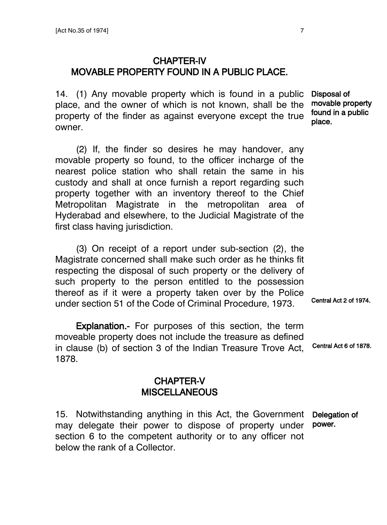#### CHAPTER-IV MOVABLE PROPERTY FOUND IN A PUBLIC PLACE.

14. (1) Any movable property which is found in a public place, and the owner of which is not known, shall be the property of the finder as against everyone except the true owner. Disposal of place.

(2) If, the finder so desires he may handover, any movable property so found, to the officer incharge of the nearest police station who shall retain the same in his custody and shall at once furnish a report regarding such property together with an inventory thereof to the Chief Metropolitan Magistrate in the metropolitan area of Hyderabad and elsewhere, to the Judicial Magistrate of the first class having jurisdiction.

(3) On receipt of a report under sub-section (2), the Magistrate concerned shall make such order as he thinks fit respecting the disposal of such property or the delivery of such property to the person entitled to the possession thereof as if it were a property taken over by the Police under section 51 of the Code of Criminal Procedure, 1973.

Explanation.- For purposes of this section, the term moveable property does not include the treasure as defined in clause (b) of section 3 of the Indian Treasure Trove Act, 1878.

### CHAPTER-V **MISCELLANEOUS**

15. Notwithstanding anything in this Act, the Government Delegation of may delegate their power to dispose of property under section 6 to the competent authority or to any officer not below the rank of a Collector. power.

movable property found in a public

Central Act 2 of 1974.

Central Act 6 of 1878.